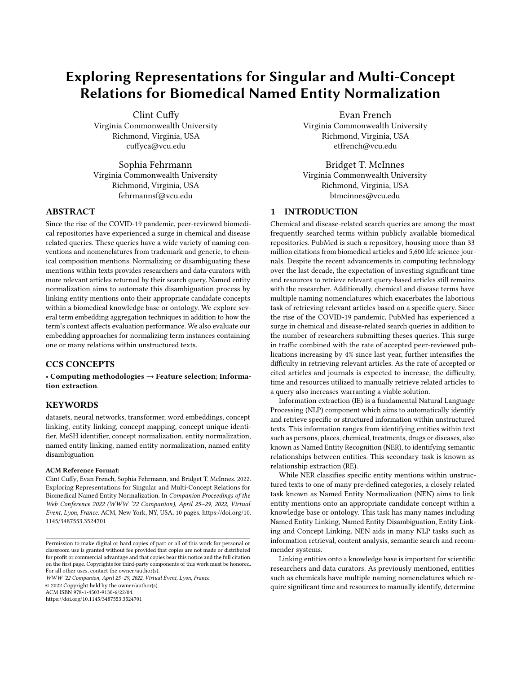# Exploring Representations for Singular and Multi-Concept Relations for Biomedical Named Entity Normalization

[Clint Cuffy](https://orcid.org/0000-0003-1245-6411) Virginia Commonwealth University Richmond, Virginia, USA cuffyca@vcu.edu

Sophia Fehrmann Virginia Commonwealth University Richmond, Virginia, USA fehrmannsf@vcu.edu

#### ABSTRACT

Since the rise of the COVID-19 pandemic, peer-reviewed biomedical repositories have experienced a surge in chemical and disease related queries. These queries have a wide variety of naming conventions and nomenclatures from trademark and generic, to chemical composition mentions. Normalizing or disambiguating these mentions within texts provides researchers and data-curators with more relevant articles returned by their search query. Named entity normalization aims to automate this disambiguation process by linking entity mentions onto their appropriate candidate concepts within a biomedical knowledge base or ontology. We explore several term embedding aggregation techniques in addition to how the term's context affects evaluation performance. We also evaluate our embedding approaches for normalizing term instances containing one or many relations within unstructured texts.

# CCS CONCEPTS

• Computing methodologies  $\rightarrow$  Feature selection; Information extraction.

#### **KEYWORDS**

datasets, neural networks, transformer, word embeddings, concept linking, entity linking, concept mapping, concept unique identifier, MeSH identifier, concept normalization, entity normalization, named entity linking, named entity normalization, named entity disambiguation

#### ACM Reference Format:

Clint Cuffy, Evan French, Sophia Fehrmann, and Bridget T. McInnes. 2022. Exploring Representations for Singular and Multi-Concept Relations for Biomedical Named Entity Normalization. In Companion Proceedings of the Web Conference 2022 (WWW '22 Companion), April 25–29, 2022, Virtual Event, Lyon, France. ACM, New York, NY, USA, [10](#page-9-0) pages. [https://doi.org/10.](https://doi.org/10.1145/3487553.3524701) [1145/3487553.3524701](https://doi.org/10.1145/3487553.3524701)

WWW '22 Companion, April 25–29, 2022, Virtual Event, Lyon, France © 2022 Copyright held by the owner/author(s).

ACM ISBN 978-1-4503-9130-6/22/04.

<https://doi.org/10.1145/3487553.3524701>

Evan French Virginia Commonwealth University Richmond, Virginia, USA etfrench@vcu.edu

[Bridget T. McInnes](https://orcid.org/0000-0003-2297-6672) Virginia Commonwealth University Richmond, Virginia, USA btmcinnes@vcu.edu

# 1 INTRODUCTION

Chemical and disease-related search queries are among the most frequently searched terms within publicly available biomedical repositories. PubMed is such a repository, housing more than 33 million citations from biomedical articles and 5,600 life science journals. Despite the recent advancements in computing technology over the last decade, the expectation of investing significant time and resources to retrieve relevant query-based articles still remains with the researcher. Additionally, chemical and disease terms have multiple naming nomenclatures which exacerbates the laborious task of retrieving relevant articles based on a specific query. Since the rise of the COVID-19 pandemic, PubMed has experienced a surge in chemical and disease-related search queries in addition to the number of researchers submitting theses queries. This surge in traffic combined with the rate of accepted peer-reviewed publications increasing by 4% since last year, further intensifies the difficulty in retrieving relevant articles. As the rate of accepted or cited articles and journals is expected to increase, the difficulty, time and resources utilized to manually retrieve related articles to a query also increases warranting a viable solution.

Information extraction (IE) is a fundamental Natural Language Processing (NLP) component which aims to automatically identify and retrieve specific or structured information within unstructured texts. This information ranges from identifying entities within text such as persons, places, chemical, treatments, drugs or diseases, also known as Named Entity Recognition (NER), to identifying semantic relationships between entities. This secondary task is known as relationship extraction (RE).

While NER classifies specific entity mentions within unstructured texts to one of many pre-defined categories, a closely related task known as Named Entity Normalization (NEN) aims to link entity mentions onto an appropriate candidate concept within a knowledge base or ontology. This task has many names including Named Entity Linking, Named Entity Disambiguation, Entity Linking and Concept Linking. NEN aids in many NLP tasks such as information retrieval, content analysis, semantic search and recommender systems.

Linking entities onto a knowledge base is important for scientific researchers and data curators. As previously mentioned, entities such as chemicals have multiple naming nomenclatures which require significant time and resources to manually identify, determine

Permission to make digital or hard copies of part or all of this work for personal or classroom use is granted without fee provided that copies are not made or distributed for profit or commercial advantage and that copies bear this notice and the full citation on the first page. Copyrights for third-party components of this work must be honored. For all other uses, contact the owner/author(s).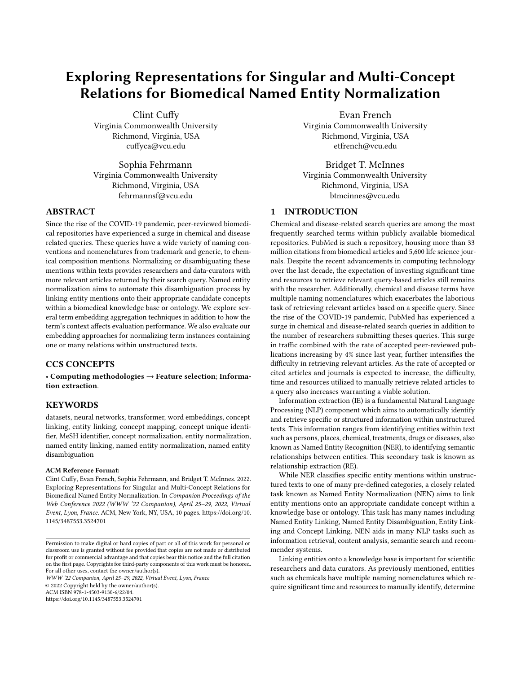and categorize the minute differences between synonymous or similar chemicals. While chemicals can be referred to by their trademark or generic names, utilization of their chemical composition is often noted within biomedical text. This does not include mis-spellings and non-standard nomenclatures which can also have detrimental effects for relevant article retrieval. NEN aims to normalize these mentions by linking them to related concepts within an ontology. This has an effect of disambiguating multiple forms of synonymous terms or naming variations. This simplifies searching criteria and expedites the laborious task of sorting through irrelevant articles.

In this study, we evaluate several approaches to linking chemical and disease mentions within abstracts and full-text articles onto ontologies within the biomedical domain. We utilize the BioBERT [9] model as our base term encoder. We extract term representations as embeddings in one of three ways: 1) averaged sub-word token representation of a term, 2) first sub-word token representation of the term and 3) last sub-word token representation of the term. To generate high quality term embedding representations, we include term context in one of three ways: 1) we utilize the sequence containing the term, 2) we utilize the sequences before and after in addition to the sequence containing the term and 3) we maximize context of the surrounding term by filling the encoder buffer with all surrounding sequences.

In addition to these approaches, we evaluate model performance while capturing one-to-one and one-to-many relations, between terms and their candidate concepts. Our one-to-one approach links a term to a single concept. Likewise, our one-to-many approach links a term to multiple candidate concepts. We found minute differences between the quality of term embeddings with respect to variations of the term's context used to generate the embeddings for one-toone relations. In comparison, differences in evaluation performance were noted when classifying one-to-many relations. Each of these approaches captures different but important aspects of how term embeddings are represented for mapping to candidate concepts within biomedical ontologies. We provide a comprehensive listing of results among our approaches and a detailed analysis of our findings.

#### 2 RELATED WORKS

Typically, NEN can be categorized as four main approaches: rulebased, learning-based, multilingual-based and joint learning-based. For the learning-based approaches, they can be further classified as machine learning versus deep learning methods. This classification sometimes creates an overlap between deep learning-based and joint-learning based works. In this section, we describe related works that are closely associated with our approach.

Early attempts at NEN were all rule-based methods which leveraged synonym, acronym, and abbreviation dictionaries to map terms found in biomedical text to ontologies such as MeSH and MedDRA [2, 12]. Rule-based methods remain popular for production usage because of their configurability and ease of interpretation [\[21\]](#page-8-0), but they are unable to compete with learning-based methods in terms of accuracy or F-measure [11]. For this reason, machine learning and deep learning approaches dominate recent work in the field. Leaman, et al [8] pioneered the first machine

learning NEN system with DNorm, which utilized a pairwise learning to rank method to learn mappings from term frequency-inverse document frequency (TF-IDF) representations of mentions to representations of concept names. Unlike the early systems, which simultaneously extracted and normalized entities as they processed documents in their entirety, DNorm considered only the mentions themselves when scoring their vector representations. DNorm (using BANNER [7] to extract mentions) demonstrated a 20+ point improvement over MetaMap[2] in terms of F-measure on the NCBI disease corpus [4].

Later systems improved on the DNorm baseline by representing mentions with static word embeddings (rather than TF-IDF vectors) and feeding them through convolutional neural network (CNN) and recurrent neural network models [19] to perform the prediction. Tutubalina, et al demonstrated that these higher quality embeddings coupled with more powerful models could outperform DNorm by up to 12 points in terms of accuracy on the AskAPatient dataset [6]. Mondal, et al [14] also used static word embeddings and a CNN classifier, but split the prediction process into two stages. In the first stage, they used cosine similarity and Jaccard overlap to identify a small set of candidate concepts for each mention. Then, in the latter stage, they used a CNN, which had been trained to differentiate between correct and incorrect concept mappings, to predict which candidate concept mapped to each mention. Sung, et al. [17] employed a similar two step paradigm in their BioSYN system, trading static vector representations of mentions for BioBERT encodings. Liu, et al. [11], built on the prediction stage with their SAPBERT system and trained BERT models to differentiate correct mention-concept mappings from incorrect ones where the incorrect concept was very similar to the mention. Finally, Angell, et al [1] addressed a key weakness of the BioSYN system, namely that if the correct concept was not identified in the candidate generation phase, it was a priori excluded from being correctly identified during the final prediction. This is especially problematic for mentions that are ambiguous on their own, but which are referenced more explicitly elsewhere in the document. Their system generated candidates for each mention and then used a clustering algorithm on all mentions and candidates in a given document which created groups of at most one concept mapped to any number of mentions. Their state of the art performance demonstrated the importance of locally contextualizing mentions for proper linking.

#### 3 DATA

We utilize the BioCreative V CDR [10], BioCreative VII Track II CDR [5], Biocreative VII Track II NLMChem [5] and NCBI disease [4] datasets. These datasets contain PubMed titles (T), abstracts (A) and full-text articles (F) which map chemical and disease mentions to Medical Subject Headings (MeSH) [12] or concept unique identifiers (CUIs). These CUIs refer to a concept within the UMLS ontology <sup>[1](#page-1-0)</sup>. Each dataset also contains two types of mappings for NEN: 1) one-to-one relations and 2) one-to-many relations. One-toone relations, maps a term to a single concept while one-to-many maps a term to multiple concepts. One-to-one relations comprises the majority of NEN instances within each dataset. One-to-many instances have two types of mentions: 1) individual mention, and 2)

<span id="page-1-0"></span><sup>1</sup>https://www.nlm.nih.gov/research/umls/index.html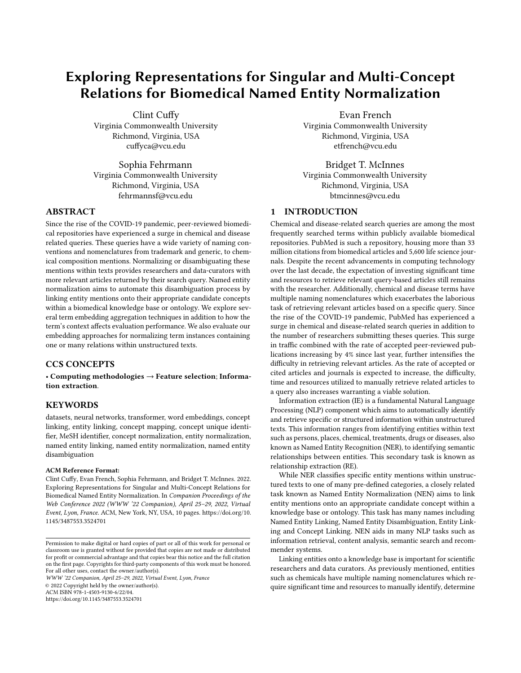<span id="page-2-0"></span>

| Name                           | <b>BC5CDR</b> | BC7T2-CDR | <b>BC7T2-(N)</b> | <b>NCBI</b> |
|--------------------------------|---------------|-----------|------------------|-------------|
| Document Type                  | T A           | T A       | F                | А           |
| <b>Number of Documents</b>     | 1500          | 1500      | 150              | 792         |
| Number of Passages             | 3000          | 3000      | 10252            | 1586        |
| <b>Number Unique Terms</b>     | 5196          | 2151      | 4397             | 1977        |
| <b>Number Unique Concepts</b>  | 2351          | 1270      | 1812             | 755         |
| Average Sentence Length        | 15.67         | 15.62     | 14.69            | 19.44       |
| Average Sentences Per Passage  | 6.09          | 6.09      | 4.97             | 4.98        |
| Average Words Per Passage      | 95.26         | 95.26     | 73.15            | 96.98       |
| Average Sentences Per Document | 12.19         | 12.19     | 340.19           | 9.98        |
| Average Words Per Document     | 190.53        | 190.53    | 4999.61          | 194.21      |
| Number of Mapping Instances    | 29271         | 15953     | 38339            | 6824        |
| <b>Individual Mentions</b>     | 486           | 18        |                  |             |
| <b>Composite Mentions</b>      | 235           | 8         |                  | 159         |
| Composite Mentions (Unlabeled) | 38            | 9         | 2318             | 39          |

Table 1: Dataset Statistics

BC7T2-(N): BC7T2-NLMChem, A: Abstracts, F: Full-text articles

composite mentio@omposite mentions map a term to multiple concepts while individual mentions map the distinct term words within a composite mention to their individual concepts. We show this di erence in the Figur[e 2](#page-8-1) of the appendix section. We list several statistical categories including document type, number of documents, number of unique terms and number of unique concept identi ers. In addition to listing the number of individual and composite mentions, we list the number of composite mentions which have not been labeled within each dataset. We provide these statistics for each dataset in Tab[le](#page-2-0) 1 below.

#### 4 METHODS

language model utilized in our approach. Second, how data is rep- 512 token limit, storing the sequence containing the chemical or resented and how context is provided to generate our term embeddings. Third, how our term embeddings are generated and diering types of term embeddings. Finally, we discuss our methods to quan-Figur[e 3](#page-9-1) of the appendix section. tify one-to-one versus one-to-many relations found within the data.

#### 4.1 Base Language Model

We use the cased implementation of DMIS LaBis irectional Encoder Representations from Transformers for Biomedical Text M ing (BioBert) [9] language model as our base encoder. This is a transformer-based 20 language model which has been pre-trained on biomedical data including Pub-Med abstracts and Pub-Med Cen-tation of the chemical or disease mention; 2) extracting the rst tral full-text articles. This language model is also ne-tuned using three biomedical text mining NLP tasks which includes: 1) NER, 2) Question Answering, and 3) RD[ We propose a single output classication layer stacked on-top of the BioBERT encoder for the task of NEN. This classi cation layer accepts a term representation as input and provides a prediction in one of two ways: 1) as a probability distribution over all candidate concepts within the vocabulary; or 2) a probability score for each candidate concept Each of the datasets contains two types of term-to-concept mapwithin the vocabulary i.e. softmax vs sigmoid. The vocabulary of candidate concepts consists of the unique MeSH or CUI concepts of the relationship between a term and candidate concept. While

existing within the training, development and testing sub-sets for each dataset.

# 4.2 Term Context and Representation

In the section, we discuss our methods. First, we discuss the base before and after; and 3) we maximize context by using BioBERT's As each dataset is comprised of abstracts and full-text articles, our data pre-processing steps include identifying the specic sequences containing chemical or disease mentions. After these sequences have been identi ed, we generate contextual sub-word embeddings by including the chemical or disease term's context using one of three approaches: 1) only the sequence containing the chemical or disease mention is utilized; 2) we utilize the sequence containing the chemical or disease mention, in addition to the sequences disease mention and its surrounding sequences until the token limit has been reached. We provide an example of these approaches in

> We tokenize these text sequences using the BioBERT tokenizer, which splits certain words within the sequence into sub-word tokens based on the existing vocabulary within its word-piece tokenization strategy. We mask these chemical and disease term subword tokens for use within our term embedding extraction layer, which identi es and extracts the respective sub-word embeddings in one of three ways: 1) providing an average embedding represensub-word embedding of the chemical or disease mention; or 3) extracting the last sub-word embedding of the chemical or disease mention. Each embedding type produces a single 768 length representation which is fed into the subsequent classi cation layer for mapping over the distribution of unique candidate concepts.

# 4.3 One-to-One vs One-to-Many Relations

pings: 1) one-to-one and 2) one-to-many. These refer to the nature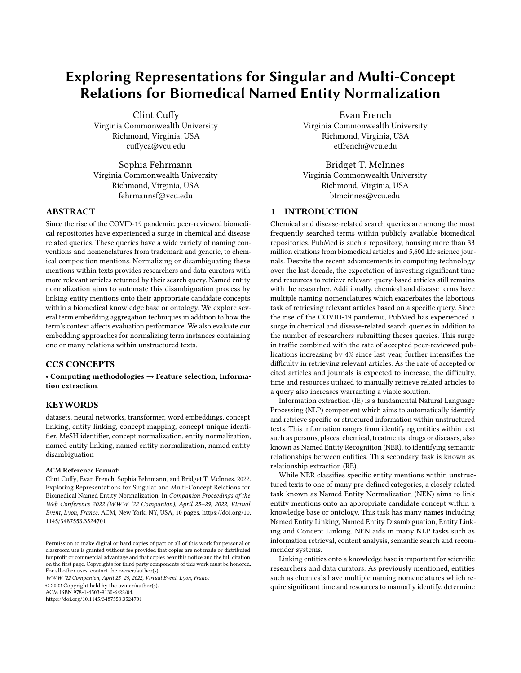Figure 1: Named Entity Normalization (NEN) Model

This depiction demonstrates embedding context as the term's sequence. We also explore two more context aggregation methods which are not shown.

one-to-one maps a term to a single candidate concept, one-to-many instances can produce conicts during model training and reduce maps a term to multiple candidate concepts. However, one-to-many instances have two types of mentions: individual mention and 2) composite mentionComposite mentions map a term to multiple concepts while individual mentions map the distinct term words within a composite mention to their individual concepts. We show this di erence in the Figure 2 of the appendix section. Typical neural network-based NEN approaches focus on mapping a term to a single concept, however we compare both one-to-one and oneto-many mappings using standard categorical cross-entropy and binary cross-entropy losses.

For our one-to-one approach, we use categorical cross-entropy loss with softmax activation within the classi cation layer. This provides a normalized distribution over our candidate concept labels which sum to '1' i.e. multi-class classi cation. For each term-toconcept classi cation instance, we designate the concept identi er with the highest probability score as the assigned candidate concept to the term. For our one-to-many approach, we use binary cross-entropy loss with sigmoid activation within the classication layer. This provides an independent probability score for each concept identi er label i.e. multi-label classi cation. We perform thresholding using the inection point of the sigmoid function i.e. 0.5, such that all probability scores 0.5 or greater are set to '1' and scores less than 0.5 are set to '0'. We use this thresholding method to assign one or more candidate concepts to a term. For each composite mention, their respective individual mentions are provided within each dataset. Training on both types of composite mention

model generalizability. Both relation approaches train using one-toone relations existing within the data. However, we omit composite mentions for our one-to-one models and individual mentions for our one-to-many models.

#### 4.4 Evaluation

After each model has been trained, we run inference over all test set instances and measure the performance of our approaches using strict and approximate mention-level precision, recall and f1-score metrics, used by the BioCreative VII Track 2 challenge and described by Tsataronis, et. al $\beta$ . Instead of aggregating counts for all term-to-concept predictions given a passage, this method evaluates the unique set of term-to-concept predictions within a passage i.e. identical instances of term-to-concept predictions are skipped within a passage and only the unique term-to-concept pair counts are aggregated. While the strict method evaluates predicted term concept identi ers against their ground truth labels, the approximate method evaluates performance by linking predicted term and ground truth concept identi ers to their parents concepts within the ontology and generates precision (P), recall (R) and f1-scores (F1) using the lowest common ancestor algorithm.

#### 5 EXPERIMENTAL DETAILS

We utilize the PyTorch [5] implementation of the DMIS Lab BioBERT v1.2 [9] as our base encoder among all experiments. We chose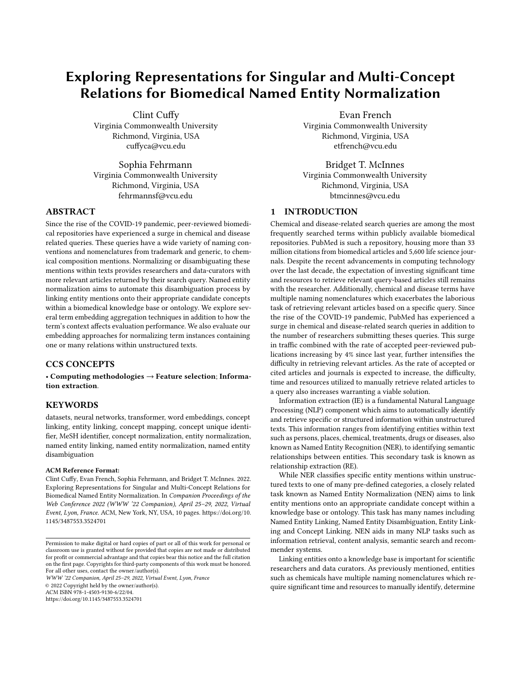this due to the PyTorch implementation's increased maximum token length of 512 in comparison to Tensor ow's 128. Data pretheir ASCII equivalents i.e. soft-hyphen, thin white-space, nonbreaking and no-break spaces. We remove other special unicode one-to-one relations. characters including trademark, service mark, registered and copyright symbols in addition to separating all periods from the nal word within a sentence by inserting a single white-space.

To extract the rst, last or mean pooling of sub-word embeddings for a term, we implement a custom Kera<sup>3</sup> layer which forward propagates this xed 768 length term embedding to a classication layer. This classi cation layer provides probability scores over the concept identi er vocabulary as output of the model.

We train our models on NVIDIA Tesla V100 PCIe 32 GB GPUs by freezing the BERT layer parameters and using the ADAM optimizer with a learning rate of 2e-4, batch size of 10, standard learning rate decay values and beta parameters. We train our one-to-one models for 20 epochs and use early stopping while monitoring loss with a persistence value of 2. Similarly, we train our one-to-many models for 50 epochs and use early stopping while monitoring loss with a persistence value of 2. We perform class weighting by setting the concept-less class to 0.125 and leave all remaining candidate datasets. When examining our model's ability to di erentiate beconcept classes as 1.

# 6 RESULTS AND DISCUSSION

In this section, we present all our results over all data-sources for our approaches and discussion of our ndings. We present and discuss our term embedding type approaches. We then present our Given our best approach of generating high quality embeddings results for the various approaches to contextualize term embeddings. Finally, we compare our approaches for capturing one-to-one and one-to-many relations. We also compare our results to previous work. We list these results in Tables 2, 3 and 5.

#### 6.1 Term Embedding Types

We perform three types of embedding generation approaches for NEN. Of the three types of approaches: averaging, rst and last, our results show that averaging all sub-word embeddings within a given term consistently performed the best when compared to using the term's rst or last sub-word embedding. Using the term's rst sub-word embedding followed averaging while using the term's last sub-word embedding performed the least favorable among the three approaches. Our results show this trend holds true among all datasets and embedding context types for both one-to-one and one-to-many relations experiments.

# 6.2 Term Context

In addition to the embedding type approaches utilized to provide the high quality term embeddings, we explore how a term's context used to generate these embeddings aects evaluation performance. we perform an indirect comparison of our approach to previous The three context type approaches include: 1) only using the term sequence; 2) using the sequences occurring before and after the utilizes similar term context aggregation and embedding generation term sequence in addition to the term sequence; and 3) maximizing term context by including all possible sequences surrounding the generate an averaged term embedding performed the best with entity typing and NEN for one-to-one relations. They evaluate

processing steps include converting several unicode characters to before and after the term sequence, and averaging the term's subthe BC5CDR, BC7T2-CDR and BC7T2-NLMChem datasets for oneto-one relations. Conversely, including the sequences immediately word embeddings performed the best with the NCBI dataset for

> While using the term sequence generally performs best with averaging for one-to-one relations, including the sequences before and after the term sequence, and averaging performed the best with the BC5CDR, BC7T2-NLMChem and NCBI datasets for oneto-many relations. For the BC7T2-CDR, we found maximizing the context to generate an average term representation provided the best performance for one-to-many relations.

#### 6.3 One-to-One vs. One-to-Many Relations

We have shown that averaging performs best between embedding types and the context utilized to provide the highest quality term embeddings are dependent on the dataset. When examining our approaches to quantify one-to-one and one-to-many relations, we found that our one-to-many approach provides greater evaluation performance than capturing one-to-one relations for all embedding types over the BC5CDR, BC7T2-CDR and BC7T2-NLMChem tween one-to-one and one-to-many relations within the NCBI dataset, our results did not show a noticeable change in F1 performance.

# 6.4 Strict vs. Approximate Comparison

over each dataset, we compare strict versus approximate evaluation methods for both one-to-one and one-to-many relations. The approximate evaluation method measures model performance using the lowest common ancestor algorithm. This method links predicted and gold child candidate concepts to their parent concepts within the UMLS ontology. In comparison, the strict evaluation method computes evaluation metrics based on the exact matching of candidate concepts between the predicted and gold data.

Results show that the approximate evaluation method improves one-to-one relation evaluation performance across all reported datasets. For our one-to-many relation approaches, we found the approximate evaluation method improves performance for the BC7T2- CDR and NCBI datasets. Interestingly, this method decreased performance for one-to-many relations across the BC5CDR and NCBI datasets when compared to their strict counterparts. We provide these results in Table 4.

#### 6.5 Indirect Comparison with Previous Works

term sequence. We found that only using the term sequence to learning and hierarchical BERT-based models for the tasks of NER, Given our best approach of generating high quality embeddings to classify one-to-one relations for the BC5CDR dataset (i.e. averaged embedding type only using the term sequence to generate context) work. Of all recent NEN publications, we found Wiatrack, et.  $22$ approaches in addition to evaluating similar candidate concept types and reporting metrics. Their approaches include both joint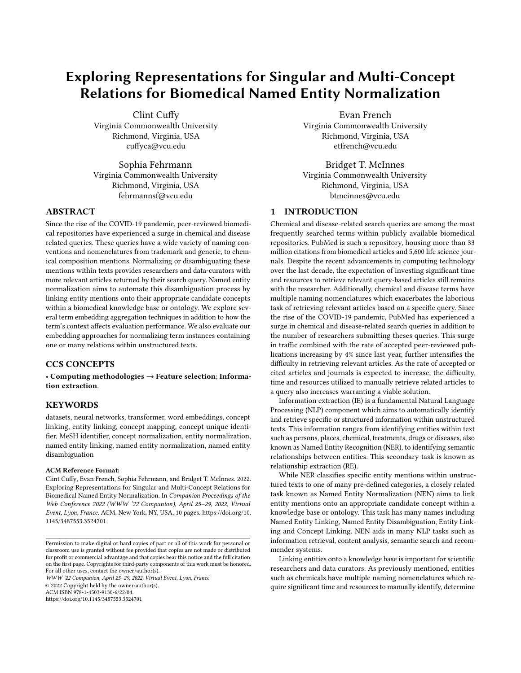WWW '22 Companion, April 25 29, 2022, Virtual Event, Lyon, France Clint Cuy et al. Clint Cuy et al.

| One-To-One Relations |               |        |                |           |        |                           |               |             |                |             |        |                |
|----------------------|---------------|--------|----------------|-----------|--------|---------------------------|---------------|-------------|----------------|-------------|--------|----------------|
| Term Sequence        |               |        |                |           |        |                           |               |             |                |             |        |                |
| <b>Type</b>          | <b>BC5CDR</b> |        |                | BC7T2-CDR |        |                           | BC7T2-NLMChem |             |                | <b>NCBI</b> |        |                |
|                      | P             | R      | F <sub>1</sub> | P         | R.     | F <sub>1</sub>            | P             | R           | F <sub>1</sub> | P           | R      | F <sub>1</sub> |
| Average              | 0.6005        | 0.6728 | 0.6346         | 0.5067    | 0.6534 | 0.5707                    | 0.5030        | 0.6673      | 0.5736         | 0.6190      | 0.5741 | 0.5957         |
| First                | 0.5368        | 0.6299 | 0.5796         | 0.4742    | 0.6232 | 0.5386                    | 0.4734        | 0.6341      | 0.5421         | 0.5463      | 0.5394 | 0.5429         |
| Last                 | 0.4787        | 0.5748 | 0.5223         | 0.4589    | 0.5896 | 0.5161                    | 0.4441        | 0.6172      | 0.5165         | 0.5046      | 0.5174 | 0.5109         |
|                      |               |        |                |           |        | <b>Restricted Context</b> |               |             |                |             |        |                |
| Type                 | <b>BC5CDR</b> |        |                | BC7T2-CDR |        | BC7T2-NLMChem             |               | <b>NCBI</b> |                |             |        |                |
|                      | P             | R      | F <sub>1</sub> | P         | R      | F <sub>1</sub>            | P             | R           | F <sub>1</sub> | P           | R      | F <sub>1</sub> |
| Average              | 0.5780        | 0.6677 | 0.6196         | 0.4956    | 0.6507 | 0.5626                    | 0.4967        | 0.6721      | 0.5712         | 0.6301      | 0.5804 | 0.6043         |
| First                | 0.5319        | 0.6370 | 0.5797         | 0.4786    | 0.6301 | 0.5440                    | 0.4607        | 0.6468      | 0.5381         | 0.5538      | 0.5521 | 0.5529         |
| Last                 | 0.4874        | 0.5767 | 0.6283         | 0.4545    | 0.5999 | 0.5172                    | 0.4538        | 0.6100      | 0.5204         | 0.5311      | 0.5110 | 0.5209         |
|                      |               |        |                |           |        | <b>Full Context</b>       |               |             |                |             |        |                |
| <b>Type</b>          | BC5CDR        |        |                | BC7T2-CDR |        |                           | BC7T2-NLMChem |             |                | <b>NCBI</b> |        |                |
|                      | P             | R      | F <sub>1</sub> | P         | R      | F <sub>1</sub>            | P             | R           | F <sub>1</sub> | P           | R      | F <sub>1</sub> |
| Average              | 0.5790        | 0.6711 | 0.6216         | 0.4972    | 0.6465 | 0.5622                    | 0.4944        | 0.6612      | 0.5658         | 0.6246      | 0.5773 | 0.6000         |
| First                | 0.5231        | 0.6327 | 0.5728         | 0.4764    | 0.6108 | 0.5353                    | 0.4528        | 0.6365      | 0.5292         | 0.5363      | 0.5363 | 0.5363         |
| Last                 | 0.4866        | 0.5782 | 0.5284         | 0.4352    | 0.5786 | 0.4968                    | 0.4433        | 0.6100      | 0.5134         | 0.5300      | 0.5300 | 0.5300         |

Table 2: Strict evaluation metrics for one-to-one relations among all datasets.

Average: Computes the average among all term sub-word embeddings. First: Extracts the rst sub-word embeddings for a given term. Last: Extracts the last sub-word embedding for a given term. Term Sequence: Term embedding is generated only using the term's sequence. Restricted Context: Term embedding is generated using the term sequence in addition to immediate surrounding sequences. Full Context: Term embedding is generated by maximizes the term's context.

| One-To-Many Relations |               |        |                |           |        |                           |               |        |                |             |        |                |
|-----------------------|---------------|--------|----------------|-----------|--------|---------------------------|---------------|--------|----------------|-------------|--------|----------------|
| Term Sequence         |               |        |                |           |        |                           |               |        |                |             |        |                |
| <b>Type</b>           | BC5CDR        |        |                | BC7T2-CDR |        |                           | BC7T2-NLMChem |        |                | <b>NCBI</b> |        |                |
|                       | P             | R      | F <sub>1</sub> | P         | R      | F <sub>1</sub>            | P             | R      | F1             | P           | R      | F <sub>1</sub> |
| Average               | 0.7570        | 0.6225 | 0.6832         | 0.6894    | 0.6246 | 0.6554                    | 0.8525        | 0.6341 | 0.7273         | 0.6929      | 0.5268 | 0.5986         |
| First                 | 0.6621        | 0.6143 | 0.6373         | 0.5931    | 0.6122 | 0.6025                    | 0.7078        | 0.6221 | 0.6622         | 0.6029      | 0.5174 | 0.5569         |
| Last                  | 0.6620        | 0.5389 | 0.5775         | 0.5785    | 0.5690 | 0.5737                    | 0.7506        | 0.5949 | 0.6638         | 0.5765      | 0.4637 | 0.5140         |
|                       |               |        |                |           |        | <b>Restricted Context</b> |               |        |                |             |        |                |
| <b>Type</b>           |               | BC5CDR |                | BC7T2-CDR |        | BC7T2-NLMChem             |               |        | <b>NCBI</b>    |             |        |                |
|                       | P             | R      | F <sub>1</sub> | P         | R      | F <sub>1</sub>            | P             | R      | F <sub>1</sub> | P           | R      | F1             |
| Average               | 0.7600        | 0.6319 | 0.6901         | 0.6925    | 0.6246 | 0.6568                    | 0.8522        | 0.6432 | 0.7331         | 0.7061      | 0.5457 | 0.6157         |
| First                 | 0.6819        | 0.6143 | 0.6463         | 0.6090    | 0.6115 | 0.6103                    | 0.7498        | 0.6160 | 0.6764         | 0.6142      | 0.5174 | 0.5616         |
| Last                  | 0.6312        | 0.5327 | 0.5778         | 0.5766    | 0.5683 | 0.5724                    | 0.7263        | 0.5919 | 0.6523         | 0.5682      | 0.5913 | 0.6597         |
|                       |               |        |                |           |        | <b>Full Context</b>       |               |        |                |             |        |                |
| Type                  | <b>BC5CDR</b> |        |                | BC7T2-CDR |        |                           | BC7T2-NLMChem |        |                | <b>NCBI</b> |        |                |
|                       | P             | R.     | F <sub>1</sub> | P         | R.     | F <sub>1</sub>            | P             | R      | F1             | P           | R      | F1             |
| Average               | 0.7669        | 0.6236 | 0.6879         | 0.6983    | 0.6356 | 0.6655                    | 0.8344        | 0.6407 | 0.7249         | 0.6964      | 0.5426 | 0.6009         |
| First                 | 0.6898        | 0.5972 | 0.6402         | 0.6099    | 0.6019 | 0.6059                    | 0.7330        | 0.6172 | 0.6702         | 0.5993      | 0.5142 | 0.5535         |
| Last                  | 0.6295        | 0.5347 | 0.5782         | 0.5651    | 0.5573 | 0.5612                    | 0.7460        | 0.5913 | 0.6597         | 0.5840      | 0.4826 | 0.5285         |

Table 3: Strict evaluation metrics for one-to-many relations among all datasets.

Average: Computes the average among all term sub-word embeddings. First: Extracts the rst sub-word embeddings for a given term. Last: Extracts the last sub-word embedding for a given term. Term Sequence: Term embedding is generated only using the term's sequence. Restricted Context: Term embedding is generated using the term sequence in addition to immediate surrounding sequences. Full Context: Term embedding is generated by maximizes the term's context.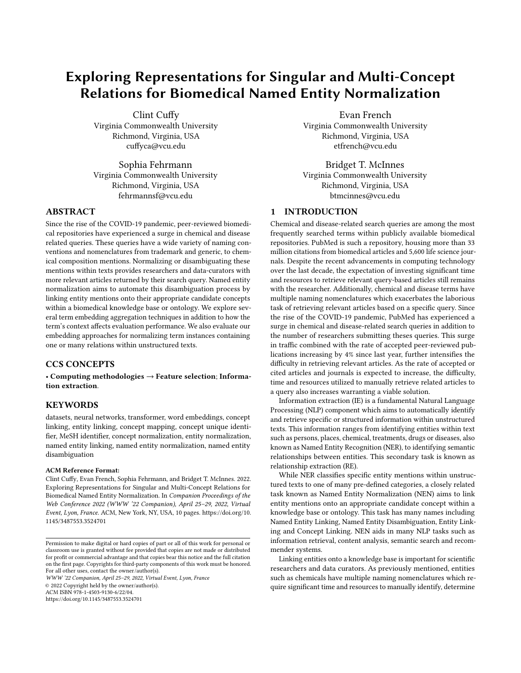| <b>Strict vs. Approximate Results</b> |        |        |           |           |        |               |               |        |             |             |        |        |
|---------------------------------------|--------|--------|-----------|-----------|--------|---------------|---------------|--------|-------------|-------------|--------|--------|
| One-to-One                            |        |        |           |           |        |               |               |        |             |             |        |        |
| Type                                  |        | BC5CDR |           | BC7T2-CDR |        |               | BC7T2-NLMChem |        |             | <b>NCBI</b> |        |        |
|                                       | P      | R      | F1        | P         | R      | F1            | Р             | R      | F1          | Р           | R      | F1     |
| <b>Strict</b>                         | 0.6005 | 0.6728 | 0.6346    | 0.5067    | 0.6534 | 0.5707        | 0.5030        | 0.6673 | 0.5736      | 0.6301      | 0.5804 | 0.6043 |
| Approx                                | 0.6308 | 0.6871 | 0.6502    | 0.6339    | 0.7524 | 0.6678        | 0.5049        | 0.7054 | 0.5792      | 0.7424      | 0.6602 | 0.6782 |
| One-to-Many                           |        |        |           |           |        |               |               |        |             |             |        |        |
| BC5CDR<br>Type                        |        |        | BC7T2-CDR |           |        | BC7T2-NLMChem |               |        | <b>NCBI</b> |             |        |        |
|                                       | P      | R      | F1        | P         | R      | F1            | P             | R      | F1          | Р           | R      | F1     |
| <b>Strict</b>                         | 0.7600 | 0.6319 | 0.6901    | 0.6983    | 0.6356 | 0.6655        | 0.8522        | 0.6432 | 0.7331      | 0.7061      | 0.5457 | 0.6157 |
| Approx                                | 0.7357 | 0.6447 | 0.6764    | 0.7357    | 0.6682 | 0.6784        | 0.8036        | 0.5924 | 0.6590      | 0.7159      | 0.6353 | 0.6481 |

Table 4: Best strict results for each dataset compared against the approximate evaluation method.

performance for classifying both chemical and disease mentions within the BC5CDR dataset using mention-level precision (P), recall  $(R)$  and f1-score (F1) metrics as described by Mohan, et $3$ al We note their single task model for NEN achieves the best performance among all approaches. We report these results in Table 5.

Their model utilizes the sequence containing a given NEN term in addition to its immediate surrounding sequences as context to generate term embeddings for one-to-one relation linking to candidate concepts. In comparison to this approach, our model evaluates performance using two additional types of context aggregation techniques: 1) only using the sequence containing the NEN term, and 2) maximizing the encoder token bu er by including all context surrounding the NEN term sequence. While both models classify one-to-one NEN instances for chemicals and diseases, we also incorporate classifying one-to-many relations and evaluate performance between the two types of NEN relation classi cation approaches.

| BC5CDR                               |  |                            |                        |  |  |  |  |  |  |
|--------------------------------------|--|----------------------------|------------------------|--|--|--|--|--|--|
| Description                          |  | R                          | F1                     |  |  |  |  |  |  |
| Wiatrak, et al. 0.6498 0.6291 0.6393 |  |                            |                        |  |  |  |  |  |  |
| One-to-One                           |  | $0.6005$ $0.6728$ $0.6346$ |                        |  |  |  |  |  |  |
| One-to-Many                          |  |                            | $0.7570$ 0.6225 0.6832 |  |  |  |  |  |  |

Table 5: Wiatrak, et al. (2020) - Entity-Level Single Task Results

Analysis between these two methods demonstrate that their model makes predictions of slightly higher relevance for one-to-one relations, but o ers a lower rate of correct classi cation for its predictions. Our model makes slightly less relevant predictions while achieving a higher rate of correct prediction classication. We attribute this to our model incorrectly classifying instances as conceptless. Overall, performance between the two approaches show our one-to-one approach achieves comparable F1 performance. Given the approach of embedding generation for the listed one-to-one relations in Table 5, we list our comparable one-to-many relation approach to demonstrate the e ect of integrating one-to-many relationships during model training. This resulted in a sizeable increase in precision, exceeding both one-to-one approaches, while demonstrating similar recall performance to the Wiatrak model.

#### 7 ERROR ANALYSIS

During an analysis of the data, we found many NEN instances containing one-to-many relations which were not labeled as composite mentions within the BC5CDR, BC7T2-CDR and NCBI datasets. Furthermore, the BC7T2-NLMChem dataset does not label any of its one-to-many relation instances as composite mentions. (see Table 1). We provide an example of an unlabeled composite NEN instance in Figure 4 of the appendix section.

If we rely on the composite mention labels to be present within the data while foregoing proper data analysis and data-processing practices, this will negatively a ect model generalizability and evaluation performance of one-to-one models. This is due to a term having multiple linked candidate concepts. During training, the model will backpropagate the respective error for each candidate concept linked to a given term independently. This also decreases evaluation performance as the model is more likely to choose the linked concept identi er that occurs more frequently with the term for one-to-one relations. Moreover, if only one candidate concept is chosen among the set linking to a term, this will also negatively a ect evaluation performance as we cannot be certain which candidate concept holds more importance among the set nor which will be used for strict evaluation.

We also found instances within the NCBI dataset labeled as composite mentions, which only contained a single linked candidate concept. These instances are omitted from one-to-one model training since they are assumed to contain multiple linked concepts to a term. Since these instances do not contain multiple candidate concepts, they provide no benet to model generalization utilizing their composite mention label.

Further analysis of the NCBI data, shows that the individual mentions for each identi ed composite mention are not labeled. This indicates that our one-to-many models are training on both the unlabeled individual mention and labeled composite mention for each term containing both types of mentions; if the individual mention exists within the data. This can also a ect model generalizability and reduce overall evaluation performance. Additionally, if we combine this with the number of existing unlabeled composite mentions noted within the dataset and number of single-concept composite mentions, we believe these factors demonstrate the lack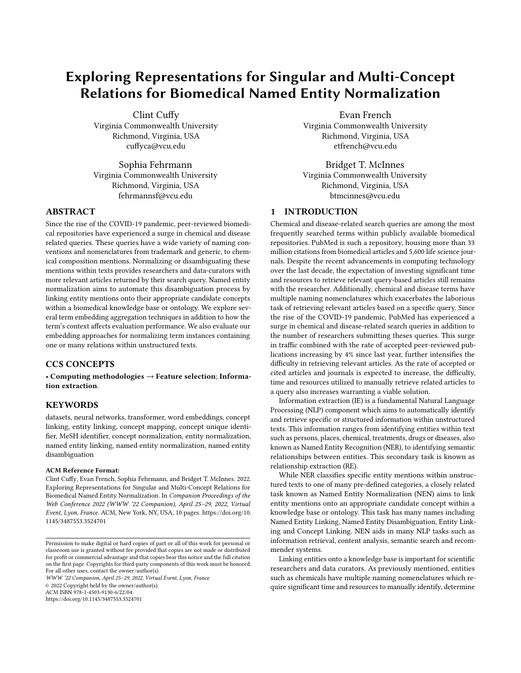of noticeable change in performance while capturing these oneto-many relations versus their one-to-one counterparts using this dataset.

While the BC5CDR, BC7T2-CDR and NCBI datasets contain many unlabeled composite mention instances, the BC7T2-NLMChem contains no labeled composite mention instances. However, one-to-Further work includes rening the BioBERT encoder for each many NEN instances exist within the dataset. Despite this nding, we noted an increase in performance within our one-to-many approaches for all embedding types when compared to the one-to-one approaches. Similar to our previous ndings, performance when identifying one-to-one relations will be negatively a ected due to the model treating each linked candidate concept to the same term as a separate instance. i.e. backpropagation will occur for each linked candidate concept to a term independently. This prevents the model from achieving an optimal one-to-one mapping solution, often assigning the concept identi er with the highest frequency to the term. We believe the one-to-many model performance increase relates to fewer unlabeled individual mentions within the dataset when compared our NCBI ndings.

Further analysis our models show that the concept-less label is incorrectly assigned more frequently than any other class. However, this depends on the dataset evaluated. We noted this trend holds true with and without class weighting the concept-less label lower than all other concept identi er labels.

#### 8 CONCLUSIONS

Within this study, we examine multiple approaches for generating term embeddings used for NEN and how each term's context a ects evaluation performance. Additionally, we provide a comparison of our approaches for mapping one-to-one and one-to-many relations. While we found averaging provides the best evaluation performance for classifying both one-to-one and one-to-many relations, it is important to note our ndings are task dependant and a comprehensive analysis of all embedding types should be considered when generating term embeddings for each data-source.

Our approaches for including context while generating high quality embeddings demonstrates that using the term's sequence provides the highest quality embeddings when classifying one-to-one relations among all datasets. Conversely, we found that term context a ects evaluation performance when classifying one-to-many relations. Results show that including more context when classifying one-to-many relations improved evaluation performance in comparison to only utilizing the term's sequence. This further emphasizes that all approaches should be considered when generating high quality term embeddings. Despite our ndings, context should always be provided when generating term representations as these representations are contextualized given the co-occurring words within the containing sequence. This provides the model with greater semantic information content given the term's surrounding context which is further utilized as a means of term disambiguation for linking onto an ontology.

Between our one-to-one and one-to-many relations, we found our one-to-many relations consistently performed better than our one-to-one relation models. While this trend shows promise in quantifying these relationships, we also noted several concerns within each dataset which we believe has detrimental e ects on

model generalizability thereby evaluation performance. Proper dataanalysis and processing techniques will aid in mitigating concerns such as these.

#### 9 FUTURE WORK

dataset while training our attached classi cation layer. We believe this will improve model performance while reducing the number of epochs necessary for model generalization. Other works include utilizing other BERT-based models such as BioMegatron. [This biomedical BERT-based model which contains up to 1.2 billion parameters and over 50,000 vocabulary elements. Compare this to BioBERT base model's 110 million parameters and 30,522 element vocabulary, we believe a notable performance increase can be achieved. Furthermore, we propose improving performance by classifying unlabeled one-to-many relationships as composite mentions within each dataset. As our one-to-one models omit instances labeled as composite mentions and our one-to-many models include instances labeled as composite mentions, we theorize an improvement in evaluation performance for both relation types will be eminent.

Other future works include implementation of an end-to-end joint-learning system which incorporates related tasks such as NER and entity typing in addition to architectural design changes. These additions when combined with incorporating techniques to mitigate the issues noted within our data analysis and approachspeci c discussion sections, we believe implicit information shared among these tasks will provide higher quality representations while achieving higher generalization performance. Additionally, as our proposed approaches depend on a xed vocabulary of candidate concepts to evaluate prediction performance, architectural design choices such as learning the mappings between term and concept representations using a similarity loss function can further improve model performance for NEN while providing a more generalizable model.

# ACKNOWLEDGMENTS

We thank the anonymous reviewers for constructive comments on the paper.

EF was supported by CTSA award No. UL1TR002649 from the National Center for Advancing Translational Sciences. BTM was supported in part by the National Science Foundation under Grant No. 1939951.

#### **REFERENCES**

- [1] Rico Angell, Nicholas Monath, Sunil Mohan, Nishant Yadav, and Andrew Mc-Callum. 2021. Clustering-based Inference for Biomedical Entity Linking. In Proceedings of the 2021 Conference of the North American Chapter of the Association for Computational Linguistics: Human Language Technologies 2608.
- [2] Alan R Aronson. 2001. E ective mapping of biomedical text to the UMLS Metathesaurus: the MetaMap program.. Proceedings of the AMIA Symposium erican Medical Informatics Association, 17.
- François Chollet et al. 2015. Keras. https://keras.io.
- [4] Rezarta Islamaj Do§an, Robert Leaman, and Zhiyong Lu. 2014. NCBI disease corpus: A resource for disease name recognition and concept normalization. Journal of Biomedical Informatids (2014), 1 10. https://doi.org/10.1016/j.jbi. 2013.12.006
- [5] Rezarta Islamaj, Robert Leaman, Sun Kim, Dongseop Kwon, Chih-Hsuan Wei, Donald C. Comeau, Yifan Peng, David Cissel, Cathleen Coss, Carol Fisher, Rob Guzman, Preeti Gokal Kochar, Stella Koppel, Dorothy Trinh, Keiko Sekiya, Janice